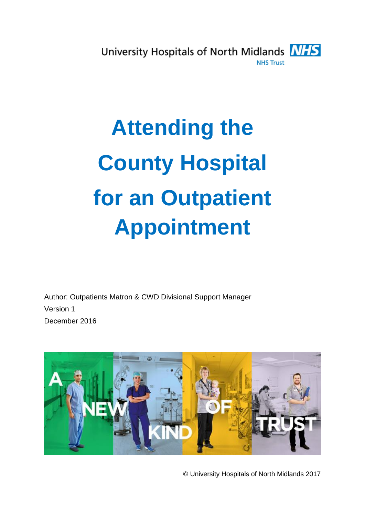

## **Attending the County Hospital for an Outpatient Appointment**

Author: Outpatients Matron & CWD Divisional Support Manager Version 1 December 2016



© University Hospitals of North Midlands 2017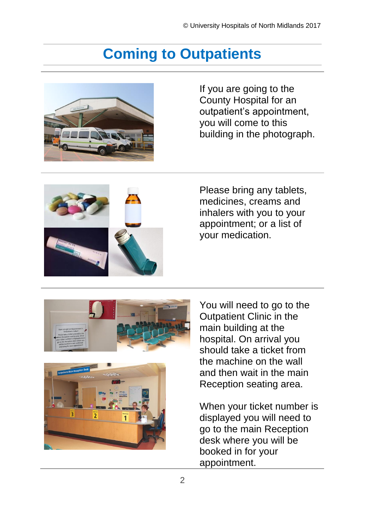## **Coming to Outpatients**



If you are going to the County Hospital for an outpatient's appointment, you will come to this building in the photograph.



Please bring any tablets, medicines, creams and inhalers with you to your appointment; or a list of your medication.





You will need to go to the Outpatient Clinic in the main building at the hospital. On arrival you should take a ticket from the machine on the wall and then wait in the main Reception seating area.

When your ticket number is displayed you will need to go to the main Reception desk where you will be booked in for your appointment.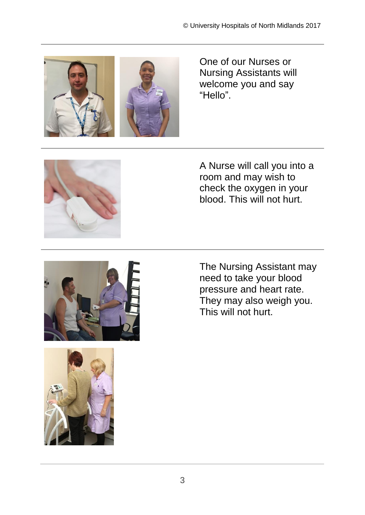

One of our Nurses or Nursing Assistants will welcome you and say "Hello".



A Nurse will call you into a room and may wish to check the oxygen in your blood. This will not hurt.





The Nursing Assistant may need to take your blood pressure and heart rate. They may also weigh you. This will not hurt.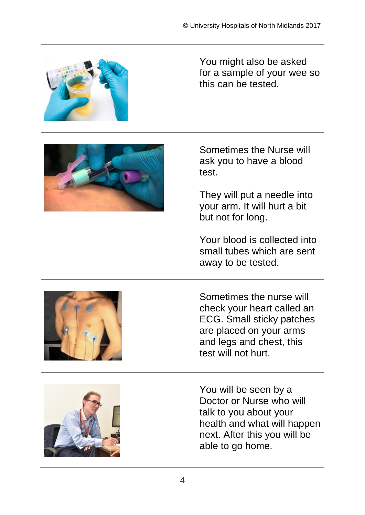

You might also be asked for a sample of your wee so this can be tested.



Sometimes the Nurse will ask you to have a blood test.

They will put a needle into your arm. It will hurt a bit but not for long.

Your blood is collected into small tubes which are sent away to be tested.



Sometimes the nurse will check your heart called an ECG. Small sticky patches are placed on your arms and legs and chest, this test will not hurt.



You will be seen by a Doctor or Nurse who will talk to you about your health and what will happen next. After this you will be able to go home.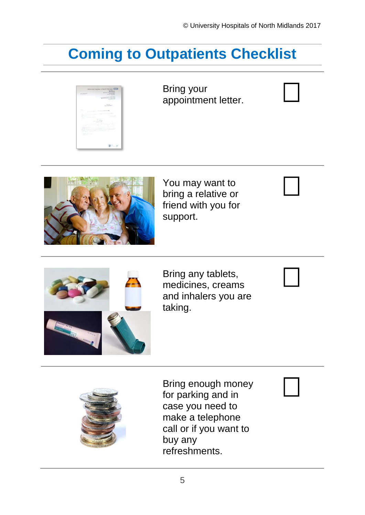## **Coming to Outpatients Checklist**



Bring your appointment letter.



You may want to bring a relative or friend with you for support.



Bring any tablets, medicines, creams and inhalers you are taking.



Bring enough money for parking and in case you need to make a telephone call or if you want to buy any refreshments.